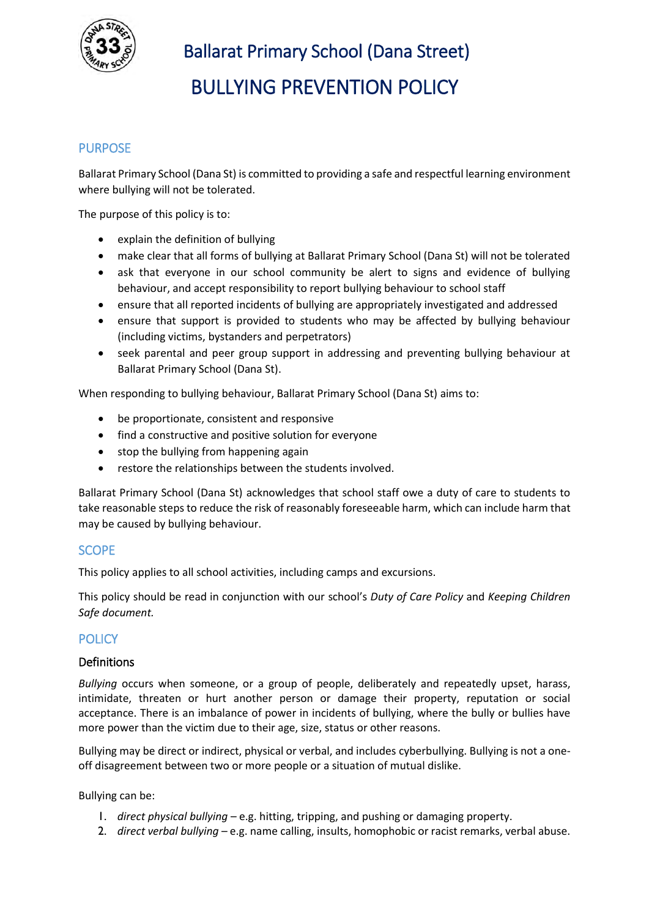

Ballarat Primary School (Dana Street)

BULLYING PREVENTION POLICY

### **PURPOSE**

Ballarat Primary School (Dana St) is committed to providing a safe and respectful learning environment where bullying will not be tolerated.

The purpose of this policy is to:

- explain the definition of bullying
- make clear that all forms of bullying at Ballarat Primary School (Dana St) will not be tolerated
- ask that everyone in our school community be alert to signs and evidence of bullying behaviour, and accept responsibility to report bullying behaviour to school staff
- ensure that all reported incidents of bullying are appropriately investigated and addressed
- ensure that support is provided to students who may be affected by bullying behaviour (including victims, bystanders and perpetrators)
- seek parental and peer group support in addressing and preventing bullying behaviour at Ballarat Primary School (Dana St).

When responding to bullying behaviour, Ballarat Primary School (Dana St) aims to:

- be proportionate, consistent and responsive
- find a constructive and positive solution for everyone
- stop the bullying from happening again
- restore the relationships between the students involved.

Ballarat Primary School (Dana St) acknowledges that school staff owe a duty of care to students to take reasonable steps to reduce the risk of reasonably foreseeable harm, which can include harm that may be caused by bullying behaviour.

#### **SCOPE**

This policy applies to all school activities, including camps and excursions.

This policy should be read in conjunction with our school's *Duty of Care Policy* and *Keeping Children Safe document.* 

#### **POLICY**

#### Definitions

*Bullying* occurs when someone, or a group of people, deliberately and repeatedly upset, harass, intimidate, threaten or hurt another person or damage their property, reputation or social acceptance. There is an imbalance of power in incidents of bullying, where the bully or bullies have more power than the victim due to their age, size, status or other reasons.

Bullying may be direct or indirect, physical or verbal, and includes cyberbullying. Bullying is not a oneoff disagreement between two or more people or a situation of mutual dislike.

Bullying can be:

- 1. *direct physical bullying* e.g. hitting, tripping, and pushing or damaging property.
- 2. *direct verbal bullying* e.g. name calling, insults, homophobic or racist remarks, verbal abuse.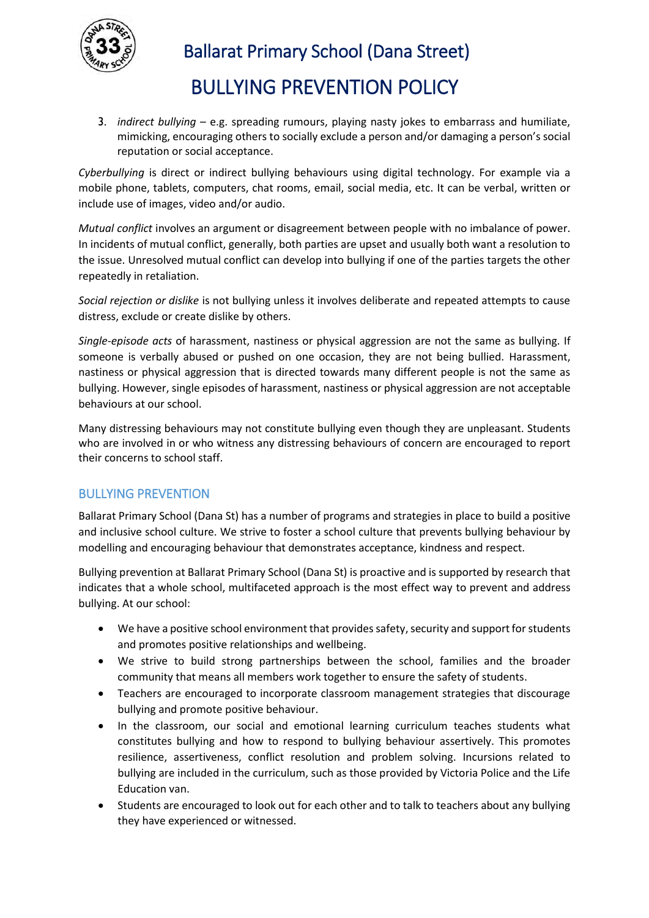

 Ballarat Primary School (Dana Street) BULLYING PREVENTION POLICY

3. *indirect bullying* – e.g. spreading rumours, playing nasty jokes to embarrass and humiliate, mimicking, encouraging others to socially exclude a person and/or damaging a person's social reputation or social acceptance.

*Cyberbullying* is direct or indirect bullying behaviours using digital technology. For example via a mobile phone, tablets, computers, chat rooms, email, social media, etc. It can be verbal, written or include use of images, video and/or audio.

*Mutual conflict* involves an argument or disagreement between people with no imbalance of power. In incidents of mutual conflict, generally, both parties are upset and usually both want a resolution to the issue. Unresolved mutual conflict can develop into bullying if one of the parties targets the other repeatedly in retaliation.

*Social rejection or dislike* is not bullying unless it involves deliberate and repeated attempts to cause distress, exclude or create dislike by others.

*Single-episode acts* of harassment, nastiness or physical aggression are not the same as bullying. If someone is verbally abused or pushed on one occasion, they are not being bullied. Harassment, nastiness or physical aggression that is directed towards many different people is not the same as bullying. However, single episodes of harassment, nastiness or physical aggression are not acceptable behaviours at our school.

Many distressing behaviours may not constitute bullying even though they are unpleasant. Students who are involved in or who witness any distressing behaviours of concern are encouraged to report their concerns to school staff.

#### BULLYING PREVENTION

Ballarat Primary School (Dana St) has a number of programs and strategies in place to build a positive and inclusive school culture. We strive to foster a school culture that prevents bullying behaviour by modelling and encouraging behaviour that demonstrates acceptance, kindness and respect.

Bullying prevention at Ballarat Primary School (Dana St) is proactive and is supported by research that indicates that a whole school, multifaceted approach is the most effect way to prevent and address bullying. At our school:

- We have a positive school environment that provides safety, security and support for students and promotes positive relationships and wellbeing.
- We strive to build strong partnerships between the school, families and the broader community that means all members work together to ensure the safety of students.
- Teachers are encouraged to incorporate classroom management strategies that discourage bullying and promote positive behaviour.
- In the classroom, our social and emotional learning curriculum teaches students what constitutes bullying and how to respond to bullying behaviour assertively. This promotes resilience, assertiveness, conflict resolution and problem solving. Incursions related to bullying are included in the curriculum, such as those provided by Victoria Police and the Life Education van.
- Students are encouraged to look out for each other and to talk to teachers about any bullying they have experienced or witnessed.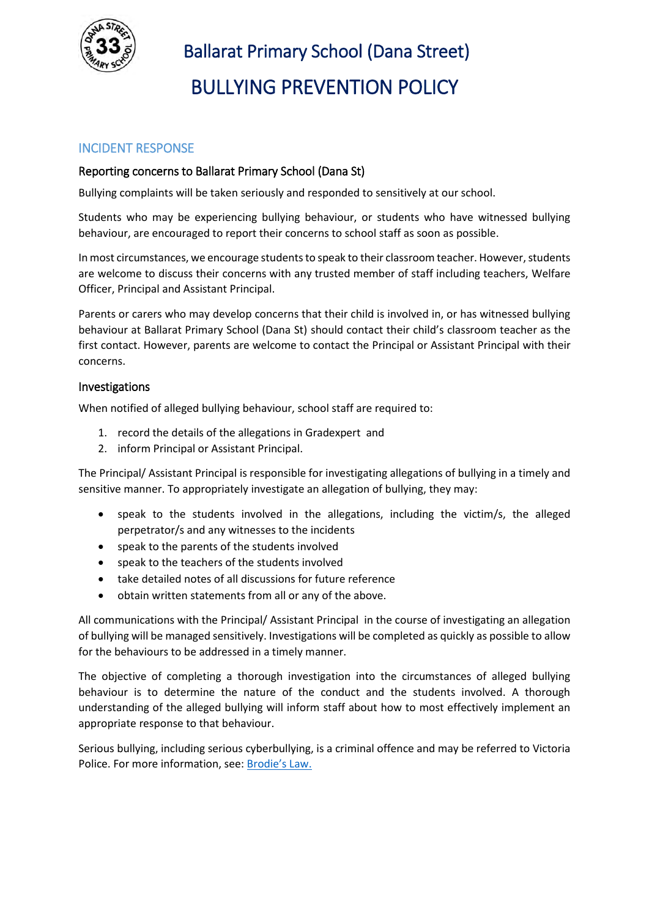

# Ballarat Primary School (Dana Street) BULLYING PREVENTION POLICY

## INCIDENT RESPONSE

#### Reporting concerns to Ballarat Primary School (Dana St)

Bullying complaints will be taken seriously and responded to sensitively at our school.

Students who may be experiencing bullying behaviour, or students who have witnessed bullying behaviour, are encouraged to report their concerns to school staff as soon as possible.

In most circumstances, we encourage students to speak to their classroom teacher. However, students are welcome to discuss their concerns with any trusted member of staff including teachers, Welfare Officer, Principal and Assistant Principal.

Parents or carers who may develop concerns that their child is involved in, or has witnessed bullying behaviour at Ballarat Primary School (Dana St) should contact their child's classroom teacher as the first contact. However, parents are welcome to contact the Principal or Assistant Principal with their concerns.

#### Investigations

When notified of alleged bullying behaviour, school staff are required to:

- 1. record the details of the allegations in Gradexpert and
- 2. inform Principal or Assistant Principal.

The Principal/ Assistant Principal is responsible for investigating allegations of bullying in a timely and sensitive manner. To appropriately investigate an allegation of bullying, they may:

- speak to the students involved in the allegations, including the victim/s, the alleged perpetrator/s and any witnesses to the incidents
- speak to the parents of the students involved
- speak to the teachers of the students involved
- take detailed notes of all discussions for future reference
- obtain written statements from all or any of the above.

All communications with the Principal/ Assistant Principal in the course of investigating an allegation of bullying will be managed sensitively. Investigations will be completed as quickly as possible to allow for the behaviours to be addressed in a timely manner.

The objective of completing a thorough investigation into the circumstances of alleged bullying behaviour is to determine the nature of the conduct and the students involved. A thorough understanding of the alleged bullying will inform staff about how to most effectively implement an appropriate response to that behaviour.

Serious bullying, including serious cyberbullying, is a criminal offence and may be referred to Victoria Police. For more information, see: [Brodie's Law.](http://www.education.vic.gov.au/about/programs/bullystoppers/Pages/advicesheetbrodieslaw.aspx)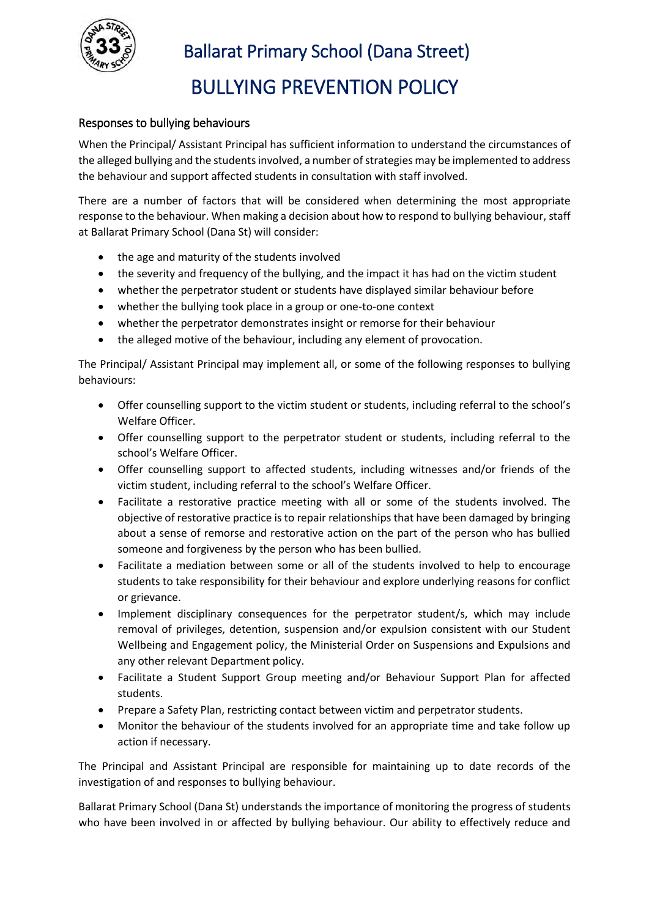

 Ballarat Primary School (Dana Street) BULLYING PREVENTION POLICY

#### Responses to bullying behaviours

When the Principal/ Assistant Principal has sufficient information to understand the circumstances of the alleged bullying and the students involved, a number of strategies may be implemented to address the behaviour and support affected students in consultation with staff involved.

There are a number of factors that will be considered when determining the most appropriate response to the behaviour. When making a decision about how to respond to bullying behaviour, staff at Ballarat Primary School (Dana St) will consider:

- the age and maturity of the students involved
- the severity and frequency of the bullying, and the impact it has had on the victim student
- whether the perpetrator student or students have displayed similar behaviour before
- whether the bullying took place in a group or one-to-one context
- whether the perpetrator demonstrates insight or remorse for their behaviour
- the alleged motive of the behaviour, including any element of provocation.

The Principal/ Assistant Principal may implement all, or some of the following responses to bullying behaviours:

- Offer counselling support to the victim student or students, including referral to the school's Welfare Officer.
- Offer counselling support to the perpetrator student or students, including referral to the school's Welfare Officer.
- Offer counselling support to affected students, including witnesses and/or friends of the victim student, including referral to the school's Welfare Officer.
- Facilitate a restorative practice meeting with all or some of the students involved. The objective of restorative practice is to repair relationships that have been damaged by bringing about a sense of remorse and restorative action on the part of the person who has bullied someone and forgiveness by the person who has been bullied.
- Facilitate a mediation between some or all of the students involved to help to encourage students to take responsibility for their behaviour and explore underlying reasons for conflict or grievance.
- Implement disciplinary consequences for the perpetrator student/s, which may include removal of privileges, detention, suspension and/or expulsion consistent with our Student Wellbeing and Engagement policy, the Ministerial Order on Suspensions and Expulsions and any other relevant Department policy.
- Facilitate a Student Support Group meeting and/or Behaviour Support Plan for affected students.
- Prepare a Safety Plan, restricting contact between victim and perpetrator students.
- Monitor the behaviour of the students involved for an appropriate time and take follow up action if necessary.

The Principal and Assistant Principal are responsible for maintaining up to date records of the investigation of and responses to bullying behaviour.

Ballarat Primary School (Dana St) understands the importance of monitoring the progress of students who have been involved in or affected by bullying behaviour. Our ability to effectively reduce and